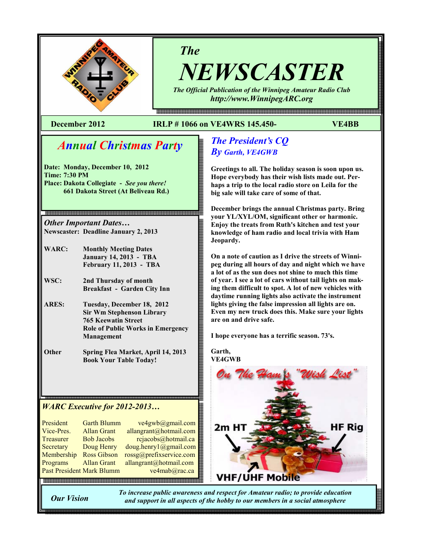

# The

NEWSCASTER The Official Publication of the Winnipeg Amateur Radio Club

http://www.WinnipegARC.org

몖a a a como da como do como do como do como do como do como do como do como do como do como do como do como do

### December 2012 IRLP # 1066 on VE4WRS 145.450- VE4BB

# Annual Christmas Party

Date: Monday, December 10, 2012 Time: 7:30 PM Place: Dakota Collegiate - See you there! 661 Dakota Street (At Beliveau Rd.)

Other Important Dates… Newscaster: Deadline January 2, 2013

- WARC: Monthly Meeting Dates January 14, 2013 - TBA February 11, 2013 - TBA
- WSC: 2nd Thursday of month Breakfast - Garden City Inn
- ARES: Tuesday, December 18, 2012 Sir Wm Stephenson Library 765 Keewatin Street Role of Public Works in Emergency Management
- Other Spring Flea Market, April 14, 2013 Book Your Table Today!

### WARC Executive for 2012-2013…

| President                 | <b>Garth Blumm</b> | ve4gwb@gmail.com        |
|---------------------------|--------------------|-------------------------|
| Vice-Pres.                | <b>Allan Grant</b> | allangrant@hotmail.com  |
| Treasurer                 | <b>Bob Jacobs</b>  | rcjacobs@hotmail.ca     |
| Secretary                 | Doug Henry         | doug. henry1@gmail.com  |
| Membership                | <b>Ross Gibson</b> | rossg@prefixservice.com |
| Programs                  | <b>Allan Grant</b> | allangrant@hotmail.com  |
| Past President Mark Blumm |                    | ve4mab@rac.ca           |
|                           |                    |                         |

## The President's CQ By Garth, VE4GWB

Greetings to all. The holiday season is soon upon us. Hope everybody has their wish lists made out. Perhaps a trip to the local radio store on Leila for the big sale will take care of some of that.

December brings the annual Christmas party. Bring your YL/XYL/OM, significant other or harmonic. Enjoy the treats from Ruth's kitchen and test your knowledge of ham radio and local trivia with Ham Jeopardy.

On a note of caution as I drive the streets of Winnipeg during all hours of day and night which we have a lot of as the sun does not shine to much this time of year. I see a lot of cars without tail lights on making them difficult to spot. A lot of new vehicles with daytime running lights also activate the instrument lights giving the false impression all lights are on. Even my new truck does this. Make sure your lights are on and drive safe.

I hope everyone has a terrific season. 73's.

Garth, VE4GWB **HF Rig** 2m H **VHF/UHF Mobile** 

Our Vision

To increase public awareness and respect for Amateur radio; to provide education and support in all aspects of the hobby to our members in a social atmosphere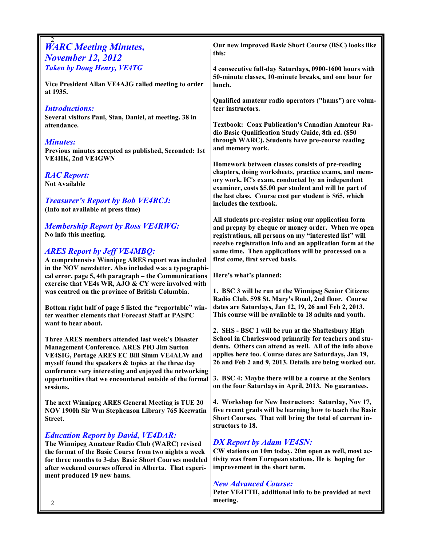| <b>WARC Meeting Minutes,</b>                                                                             | Our new improved Basic Short Course (BSC) looks like                                                                 |
|----------------------------------------------------------------------------------------------------------|----------------------------------------------------------------------------------------------------------------------|
| <b>November 12, 2012</b>                                                                                 | this:                                                                                                                |
| <b>Taken by Doug Henry, VE4TG</b>                                                                        | 4 consecutive full-day Saturdays, 0900-1600 hours with                                                               |
|                                                                                                          | 50-minute classes, 10-minute breaks, and one hour for                                                                |
| Vice President Allan VE4AJG called meeting to order                                                      | lunch.                                                                                                               |
| at 1935.                                                                                                 |                                                                                                                      |
|                                                                                                          | Qualified amateur radio operators ("hams") are volun-                                                                |
| <b>Introductions:</b>                                                                                    | teer instructors.                                                                                                    |
| Several visitors Paul, Stan, Daniel, at meeting. 38 in                                                   |                                                                                                                      |
| attendance.                                                                                              | <b>Textbook: Coax Publication's Canadian Amateur Ra-</b><br>dio Basic Qualification Study Guide, 8th ed. (\$50       |
| <b>Minutes:</b>                                                                                          | through WARC). Students have pre-course reading                                                                      |
| Previous minutes accepted as published, Seconded: 1st                                                    | and memory work.                                                                                                     |
| <b>VE4HK, 2nd VE4GWN</b>                                                                                 |                                                                                                                      |
|                                                                                                          | Homework between classes consists of pre-reading                                                                     |
| <b>RAC Report:</b>                                                                                       | chapters, doing worksheets, practice exams, and mem-                                                                 |
| <b>Not Available</b>                                                                                     | ory work. IC's exam, conducted by an independent                                                                     |
|                                                                                                          | examiner, costs \$5.00 per student and will be part of                                                               |
| <b>Treasurer's Report by Bob VE4RCJ:</b>                                                                 | the last class. Course cost per student is \$65, which<br>includes the textbook.                                     |
| (Info not available at press time)                                                                       |                                                                                                                      |
|                                                                                                          | All students pre-register using our application form                                                                 |
| <b>Membership Report by Ross VE4RWG:</b>                                                                 | and prepay by cheque or money order. When we open                                                                    |
| No info this meeting.                                                                                    | registrations, all persons on my "interested list" will                                                              |
|                                                                                                          | receive registration info and an application form at the                                                             |
| <b>ARES Report by Jeff VE4MBQ:</b>                                                                       | same time. Then applications will be processed on a                                                                  |
| A comprehensive Winnipeg ARES report was included                                                        | first come, first served basis.                                                                                      |
| in the NOV newsletter. Also included was a typographi-                                                   |                                                                                                                      |
| cal error, page 5, 4th paragraph – the Communications                                                    | Here's what's planned:                                                                                               |
| exercise that VE4s WR, AJO & CY were involved with<br>was centred on the province of British Columbia.   | 1. BSC 3 will be run at the Winnipeg Senior Citizens                                                                 |
|                                                                                                          | Radio Club, 598 St. Mary's Road, 2nd floor. Course                                                                   |
| Bottom right half of page 5 listed the "reportable" win-                                                 | dates are Saturdays, Jan 12, 19, 26 and Feb 2, 2013.                                                                 |
| ter weather elements that Forecast Staff at PASPC                                                        | This course will be available to 18 adults and youth.                                                                |
| want to hear about.                                                                                      |                                                                                                                      |
|                                                                                                          | 2. SHS - BSC 1 will be run at the Shaftesbury High                                                                   |
| Three ARES members attended last week's Disaster                                                         | School in Charleswood primarily for teachers and stu-                                                                |
| <b>Management Conference. ARES PIO Jim Sutton</b><br><b>VE4SIG, Portage ARES EC Bill Simm VE4ALW and</b> | dents. Others can attend as well. All of the info above<br>applies here too. Course dates are Saturdays, Jan 19,     |
| myself found the speakers & topics at the three day                                                      | 26 and Feb 2 and 9, 2013. Details are being worked out.                                                              |
| conference very interesting and enjoyed the networking                                                   |                                                                                                                      |
| opportunities that we encountered outside of the formal                                                  | 3. BSC 4: Maybe there will be a course at the Seniors                                                                |
| sessions.                                                                                                | on the four Saturdays in April, 2013. No guarantees.                                                                 |
|                                                                                                          |                                                                                                                      |
| The next Winnipeg ARES General Meeting is TUE 20                                                         | 4. Workshop for New Instructors: Saturday, Nov 17,                                                                   |
| NOV 1900h Sir Wm Stephenson Library 765 Keewatin                                                         | five recent grads will be learning how to teach the Basic<br>Short Courses. That will bring the total of current in- |
| Street.                                                                                                  | structors to 18.                                                                                                     |
| <b>Education Report by David, VE4DAR:</b>                                                                |                                                                                                                      |
| The Winnipeg Amateur Radio Club (WARC) revised                                                           | <b>DX Report by Adam VE4SN:</b>                                                                                      |
| the format of the Basic Course from two nights a week                                                    | CW stations on 10m today, 20m open as well, most ac-                                                                 |
| for three months to 3-day Basic Short Courses modeled                                                    | tivity was from European stations. He is hoping for                                                                  |
| after weekend courses offered in Alberta. That experi-                                                   | improvement in the short term.                                                                                       |
| ment produced 19 new hams.                                                                               |                                                                                                                      |
|                                                                                                          | <b>New Advanced Course:</b>                                                                                          |
|                                                                                                          | Peter VE4TTH, additional info to be provided at next                                                                 |
| 2                                                                                                        | meeting.                                                                                                             |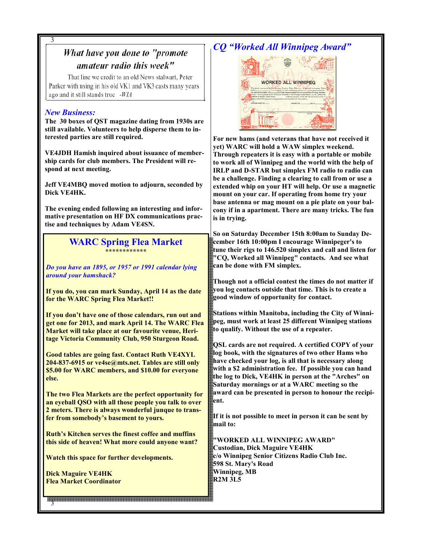#### 3 CQ "Worked All Winnipeg Award" What have you done to "promote amateur radio this week" That line we credit to an old News stalwart, Peter **WORKED ALL WINNIPEG** Parker with using in his old VK1 and VK3 casts many years ago and it still stands true -WIA New Business: m The 30 boxes of QST magazine dating from 1930s are still available. Volunteers to help disperse them to interested parties are still required. For new hams (and veterans that have not received it yet) WARC will hold a WAW simplex weekend. VE4JDH Hamish inquired about issuance of member-Through repeaters it is easy with a portable or mobile ship cards for club members. The President will reto work all of Winnipeg and the world with the help of spond at next meeting. IRLP and D-STAR but simplex FM radio to radio can be a challenge. Finding a clearing to call from or use a Jeff VE4MBQ moved motion to adjourn, seconded by extended whip on your HT will help. Or use a magnetic Dick VE4HK. mount on your car. If operating from home try your base antenna or mag mount on a pie plate on your bal-The evening ended following an interesting and inforcony if in a apartment. There are many tricks. The fun mative presentation on HF DX communications pracis in trying. tise and techniques by Adam VE4SN. So on Saturday December 15th 8:00am to Sunday De-WARC Spring Flea Market cember 16th 10:00pm I encourage Winnipeger's to tune their rigs to 146.520 simplex and call and listen for \*\*\*\*\*\*\*\*\*\*\*\* "CQ, Worked all Winnipeg" contacts. And see what can be done with FM simplex. Do you have an 1895, or 1957 or 1991 calendar lying around your hamshack? Though not a official contest the times do not matter if you log contacts outside that time. This is to create a If you do, you can mark Sunday, April 14 as the date good window of opportunity for contact. for the WARC Spring Flea Market!! Stations within Manitoba, including the City of Winni-If you don't have one of those calendars, run out and peg, must work at least 25 different Winnipeg stations get one for 2013, and mark April 14. The WARC Flea to qualify. Without the use of a repeater. Market will take place at our favourite venue, Heritage Victoria Community Club, 950 Sturgeon Road. QSL cards are not required. A certified COPY of your log book, with the signatures of two other Hams who Good tables are going fast. Contact Ruth VE4XYL have checked your log, is all that is necessary along 204-837-6915 or ve4se@mts.net. Tables are still only with a \$2 administration fee. If possible you can hand \$5.00 for WARC members, and \$10.00 for everyone the log to Dick, VE4HK in person at the "Arches" on else. Saturday mornings or at a WARC meeting so the award can be presented in person to honour the recipi-The two Flea Markets are the perfect opportunity for ent. an eyeball QSO with all those people you talk to over 2 meters. There is always wonderful junque to trans-If it is not possible to meet in person it can be sent by fer from somebody's basement to yours. mail to: Ruth's Kitchen serves the finest coffee and muffins "WORKED ALL WINNIPEG AWARD" this side of heaven! What more could anyone want? Custodian, Dick Maguire VE4HK c/o Winnipeg Senior Citizens Radio Club Inc. Watch this space for further developments. 598 St. Mary's Road Winnipeg, MB Dick Maguire VE4HK R2M 3L5 Flea Market Coordinator 3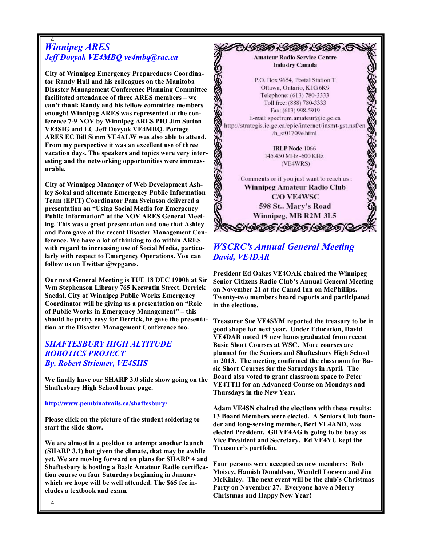#### 4 Winnipeg ARES Jeff Dovyak VE4MBQ ve4mbq@rac.ca

City of Winnipeg Emergency Preparedness Coordinator Randy Hull and his colleagues on the Manitoba Disaster Management Conference Planning Committee facilitated attendance of three ARES members – we can't thank Randy and his fellow committee members enough! Winnipeg ARES was represented at the conference 7-9 NOV by Winnipeg ARES PIO Jim Sutton VE4SIG and EC Jeff Dovyak VE4MBQ. Portage ARES EC Bill Simm VE4ALW was also able to attend. From my perspective it was an excellent use of three vacation days. The speakers and topics were very interesting and the networking opportunities were immeasurable.

City of Winnipeg Manager of Web Development Ashley Sokal and alternate Emergency Public Information Team (EPIT) Coordinator Pam Sveinson delivered a presentation on "Using Social Media for Emergency Public Information" at the NOV ARES General Meeting. This was a great presentation and one that Ashley and Pam gave at the recent Disaster Management Conference. We have a lot of thinking to do within ARES with regard to increasing use of Social Media, particularly with respect to Emergency Operations. You can follow us on Twitter @wpgares.

Our next General Meeting is TUE 18 DEC 1900h at Sir Wm Stephenson Library 765 Keewatin Street. Derrick Saedal, City of Winnipeg Public Works Emergency Coordinator will be giving us a presentation on "Role of Public Works in Emergency Management" – this should be pretty easy for Derrick, he gave the presentation at the Disaster Management Conference too.

### SHAFTESBURY HIGH ALTITUDE ROBOTICS PROJECT By, Robert Striemer, VE4SHS

We finally have our SHARP 3.0 slide show going on the Shaftesbury High School home page.

#### http://www.pembinatrails.ca/shaftesbury/

Please click on the picture of the student soldering to start the slide show.

We are almost in a position to attempt another launch (SHARP 3.1) but given the climate, that may be awhile yet. We are moving forward on plans for SHARP 4 and Shaftesbury is hosting a Basic Amateur Radio certification course on four Saturdays beginning in January which we hope will be well attended. The \$65 fee includes a textbook and exam.



### WSCRC's Annual General Meeting David, VE4DAR

President Ed Oakes VE4OAK chaired the Winnipeg Senior Citizens Radio Club's Annual General Meeting on November 21 at the Canad Inn on McPhillips. Twenty-two members heard reports and participated in the elections.

Treasurer Sue VE4SYM reported the treasury to be in good shape for next year. Under Education, David VE4DAR noted 19 new hams graduated from recent Basic Short Courses at WSC. More courses are planned for the Seniors and Shaftesbury High School in 2013. The meeting confirmed the classroom for Basic Short Courses for the Saturdays in April. The Board also voted to grant classroom space to Peter VE4TTH for an Advanced Course on Mondays and Thursdays in the New Year.

Adam VE4SN chaired the elections with these results: 13 Board Members were elected. A Seniors Club founder and long-serving member, Bert VE4AND, was elected President. Gil VE4AG is going to be busy as Vice President and Secretary. Ed VE4YU kept the Treasurer's portfolio.

Four persons were accepted as new members: Bob Moisey, Hamish Donaldson, Wendell Loewen and Jim McKinley. The next event will be the club's Christmas Party on November 27. Everyone have a Merry Christmas and Happy New Year!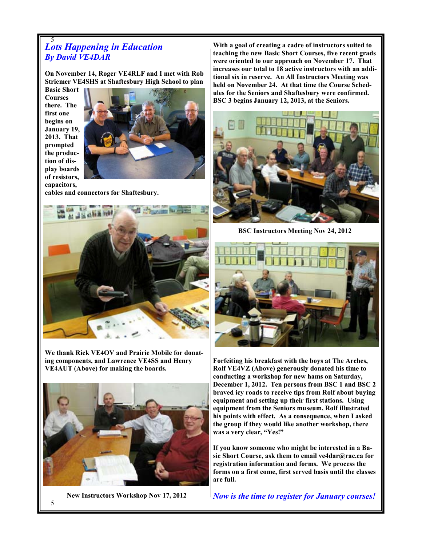#### 5 Lots Happening in Education By David VE4DAR

On November 14, Roger VE4RLF and I met with Rob Striemer VE4SHS at Shaftesbury High School to plan

Basic Short Courses there. The first one begins on January 19, 2013. That prompted the production of display boards of resistors, capacitors,



cables and connectors for Shaftesbury.



We thank Rick VE4OV and Prairie Mobile for donating components, and Lawrence VE4SS and Henry VE4AUT (Above) for making the boards.



New Instructors Workshop Nov 17, 2012

With a goal of creating a cadre of instructors suited to teaching the new Basic Short Courses, five recent grads were oriented to our approach on November 17. That increases our total to 18 active instructors with an additional six in reserve. An All Instructors Meeting was held on November 24. At that time the Course Schedules for the Seniors and Shaftesbury were confirmed. BSC 3 begins January 12, 2013, at the Seniors.



BSC Instructors Meeting Nov 24, 2012



Forfeiting his breakfast with the boys at The Arches, Rolf VE4VZ (Above) generously donated his time to conducting a workshop for new hams on Saturday, December 1, 2012. Ten persons from BSC 1 and BSC 2 braved icy roads to receive tips from Rolf about buying equipment and setting up their first stations. Using equipment from the Seniors museum, Rolf illustrated his points with effect. As a consequence, when I asked the group if they would like another workshop, there was a very clear, "Yes!"

If you know someone who might be interested in a Basic Short Course, ask them to email ve4dar@rac.ca for registration information and forms. We process the forms on a first come, first served basis until the classes are full.

Now is the time to register for January courses!

5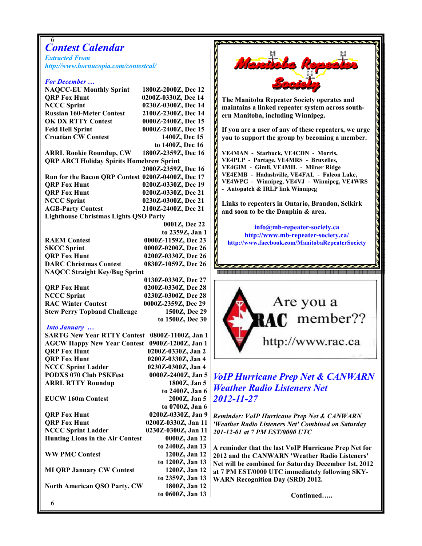### 6 Contest Calendar

Extracted From http://www.hornucopia.com/contestcal/

#### For December …

NAQCC-EU Monthly Sprint 1800Z-2000Z, Dec 12 QRP Fox Hunt 0200Z-0330Z, Dec 14 NCCC Sprint 0230Z-0300Z, Dec 14 Russian 160-Meter Contest 2100Z-2300Z, Dec 14 OK DX RTTY Contest 0000Z-2400Z, Dec 15 Feld Hell Sprint 0000Z-2400Z, Dec 15 Croatian CW Contest 1400Z, Dec 15

ARRL Rookie Roundup, CW QRP ARCI Holiday Spirits Homebrew Sprint

 2000Z-2359Z, Dec 16 Run for the Bacon QRP Contest 0200Z-0400Z, Dec 17 QRP Fox Hunt 0200Z-0330Z, Dec 19 QRP Fox Hunt 0200Z-0330Z, Dec 21 NCCC Sprint 0230Z-0300Z, Dec 21 AGB-Party Contest 2100Z-2400Z, Dec 21 Lighthouse Christmas Lights QSO Party 0001Z, Dec 22

 to 2359Z, Jan 1 RAEM Contest 0000Z-1159Z, Dec 23 SKCC Sprint 0000Z-0200Z, Dec 26 QRP Fox Hunt 0200Z-0330Z, Dec 26 DARC Christmas Contest 0830Z-1059Z, Dec 26 NAQCC Straight Key/Bug Sprint

QRP Fox Hunt 0200Z-0330Z, Dec 28<br>NCCC Sprint 0230Z-0300Z, Dec 28 0230Z-0300Z, Dec 28 RAC Winter Contest 0000Z-2359Z, Dec 29 Stew Perry Topband Challenge 1500Z, Dec 29

#### Into January …

SARTG New Year RTTY Contest 0800Z-1100Z, Jan 1 AGCW Happy New Year Contest 0900Z-1200Z, Jan 1 QRP Fox Hunt 0200Z-0330Z, Jan 2 QRP Fox Hunt 0200Z-0330Z, Jan 4 NCCC Sprint Ladder 0230Z-0300Z, Jan 4 PODXS 070 Club PSKFest 0000Z-2400Z, Jan 5 ARRL RTTY Roundup 1800Z, Jan 5 to 2400Z, Jan 6 EUCW 160m Contest to 0700Z, Jan 6 QRP Fox Hunt 0200Z-0330Z, Jan 9 QRP Fox Hunt 0200Z-0330Z, Jan 11 NCCC Sprint Ladder 0230Z-0300Z, Jan 11 Hunting Lions in the Air Contest 0000Z, Jan 12 to 2400Z, Jan 13 WW PMC Contest 1200Z, Jan 12 to 1200Z, Jan 13 MI QRP January CW Contest 1200Z, Jan 12 to 2359Z, Jan 13 North American QSO Party, CW 1800Z, Jan 12

to 0600Z, Jan 13

Menth The Manitoba Repeater Society operates and maintains a linked repeater system across southern Manitoba, including Winnipeg. If you are a user of any of these repeaters, we urge you to support the group by becoming a member. to 1400Z, Dec 16<br>1800Z-2359Z, Dec 16 VE4MAN - Starbuck, VE4CDN - Morris, VE4PLP - Portage, VE4MRS - Bruxelles, VE4GIM - Gimli, VE4MIL - Milner Ridge VE4EMB - Hadashville, VE4FAL - Falcon Lake, VE4WPG - Winnipeg, VE4VJ - Winnipeg, VE4WRS - Autopatch & IRLP link Winnipeg Links to repeaters in Ontario, Brandon, Selkirk and soon to be the Dauphin & area. info@mb-repeater-society.ca http://www.mb-repeater-society.ca/ http://www.facebook.com/ManitobaRepeaterSociety 0130Z-0330Z, Dec 27 Are you a RAC member?? to 1500Z, Dec 30 http://www.rac.ca VoIP Hurricane Prep Net & CANWARN Weather Radio Listeners Net 2012-11-27 Reminder: VoIP Hurricane Prep Net & CANWARN 'Weather Radio Listeners Net' Combined on Saturday 201-12-01 at 7 PM EST/0000 UTC A reminder that the last VoIP Hurricane Prep Net for 2012 and the CANWARN 'Weather Radio Listeners' Net will be combined for Saturday December 1st, 2012 at 7 PM EST/0000 UTC immediately following SKY-WARN Recognition Day (SRD) 2012.

Continued…..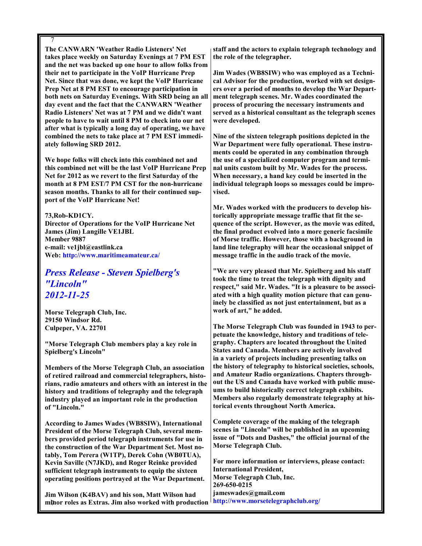7 The CANWARN 'Weather Radio Listeners' Net takes place weekly on Saturday Evenings at 7 PM EST and the net was backed up one hour to allow folks from their net to participate in the VoIP Hurricane Prep Net. Since that was done, we kept the VoIP Hurricane Prep Net at 8 PM EST to encourage participation in both nets on Saturday Evenings. With SRD being an all day event and the fact that the CANWARN 'Weather Radio Listeners' Net was at 7 PM and we didn't want people to have to wait until 8 PM to check into our net after what is typically a long day of operating, we have combined the nets to take place at 7 PM EST immediately following SRD 2012.

We hope folks will check into this combined net and this combined net will be the last VoIP Hurricane Prep Net for 2012 as we revert to the first Saturday of the month at 8 PM EST/7 PM CST for the non-hurricane season months. Thanks to all for their continued support of the VoIP Hurricane Net!

73,Rob-KD1CY. Director of Operations for the VoIP Hurricane Net James (Jim) Langille VE1JBL Member 9887 e-mail: ve1jbl@eastlink.ca Web: http://www.maritimeamateur.ca/

## Press Release - Steven Spielberg's "Lincoln" 2012-11-25

Morse Telegraph Club, Inc. 29150 Windsor Rd. Culpeper, VA. 22701

"Morse Telegraph Club members play a key role in Spielberg's Lincoln"

Members of the Morse Telegraph Club, an association of retired railroad and commercial telegraphers, historians, radio amateurs and others with an interest in the history and traditions of telegraphy and the telegraph industry played an important role in the production of "Lincoln."

According to James Wades (WB8SIW), International President of the Morse Telegraph Club, several members provided period telegraph instruments for use in the construction of the War Department Set. Most notably, Tom Perera (W1TP), Derek Cohn (WB0TUA), Kevin Saville (N7JKD), and Roger Reinke provided sufficient telegraph instruments to equip the sixteen operating positions portrayed at the War Department.

7 minor roles as Extras. Jim also worked with production Jim Wilson (K4BAV) and his son, Matt Wilson had

staff and the actors to explain telegraph technology and the role of the telegrapher.

Jim Wades (WB8SIW) who was employed as a Technical Advisor for the production, worked with set designers over a period of months to develop the War Department telegraph scenes. Mr. Wades coordinated the process of procuring the necessary instruments and served as a historical consultant as the telegraph scenes were developed.

Nine of the sixteen telegraph positions depicted in the War Department were fully operational. These instruments could be operated in any combination through the use of a specialized computer program and terminal units custom built by Mr. Wades for the process. When necessary, a hand key could be inserted in the individual telegraph loops so messages could be improvised.

Mr. Wades worked with the producers to develop historically appropriate message traffic that fit the sequence of the script. However, as the movie was edited, the final product evolved into a more generic facsimile of Morse traffic. However, those with a background in land line telegraphy will hear the occasional snippet of message traffic in the audio track of the movie.

"We are very pleased that Mr. Spielberg and his staff took the time to treat the telegraph with dignity and respect," said Mr. Wades. "It is a pleasure to be associated with a high quality motion picture that can genuinely be classified as not just entertainment, but as a work of art," he added.

The Morse Telegraph Club was founded in 1943 to perpetuate the knowledge, history and traditions of telegraphy. Chapters are located throughout the United States and Canada. Members are actively involved in a variety of projects including presenting talks on the history of telegraphy to historical societies, schools, and Amateur Radio organizations. Chapters throughout the US and Canada have worked with public museums to build historically correct telegraph exhibits. Members also regularly demonstrate telegraphy at historical events throughout North America.

Complete coverage of the making of the telegraph scenes in "Lincoln" will be published in an upcoming issue of "Dots and Dashes," the official journal of the Morse Telegraph Club.

For more information or interviews, please contact: International President, Morse Telegraph Club, Inc. 269-650-0215 jameswades@gmail.com http://www.morsetelegraphclub.org/